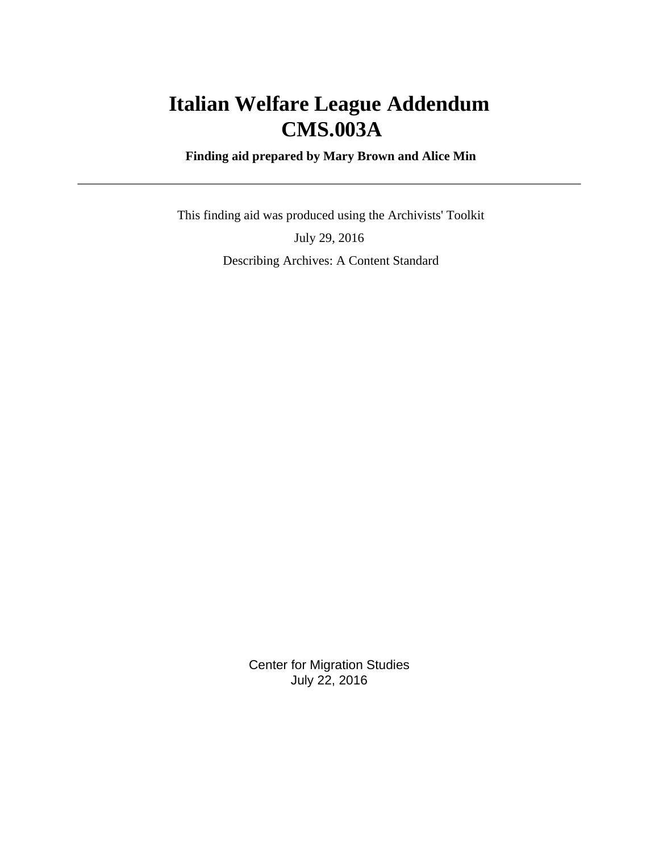# **Italian Welfare League Addendum CMS.003A**

 **Finding aid prepared by Mary Brown and Alice Min**

 This finding aid was produced using the Archivists' Toolkit July 29, 2016 Describing Archives: A Content Standard

> Center for Migration Studies July 22, 2016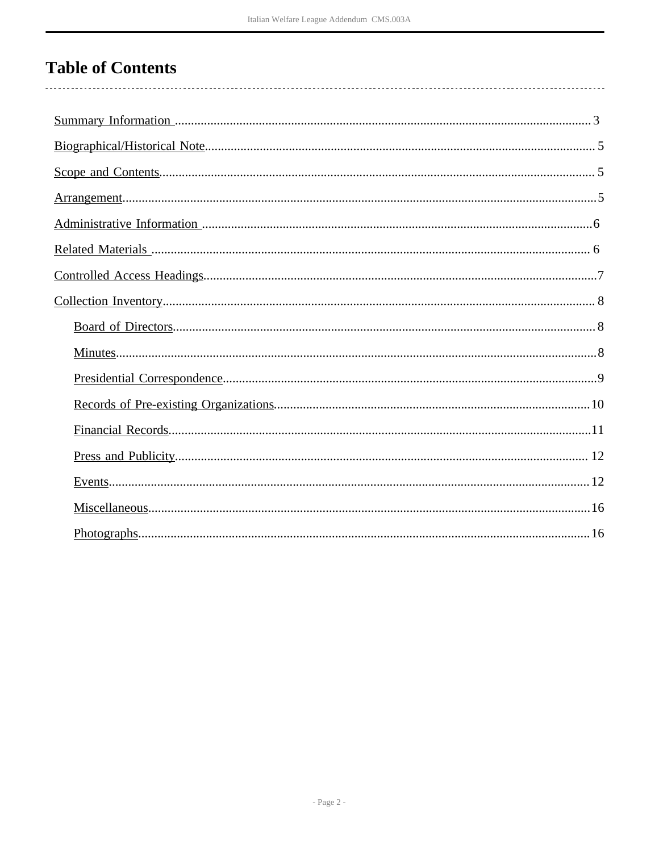# **Table of Contents**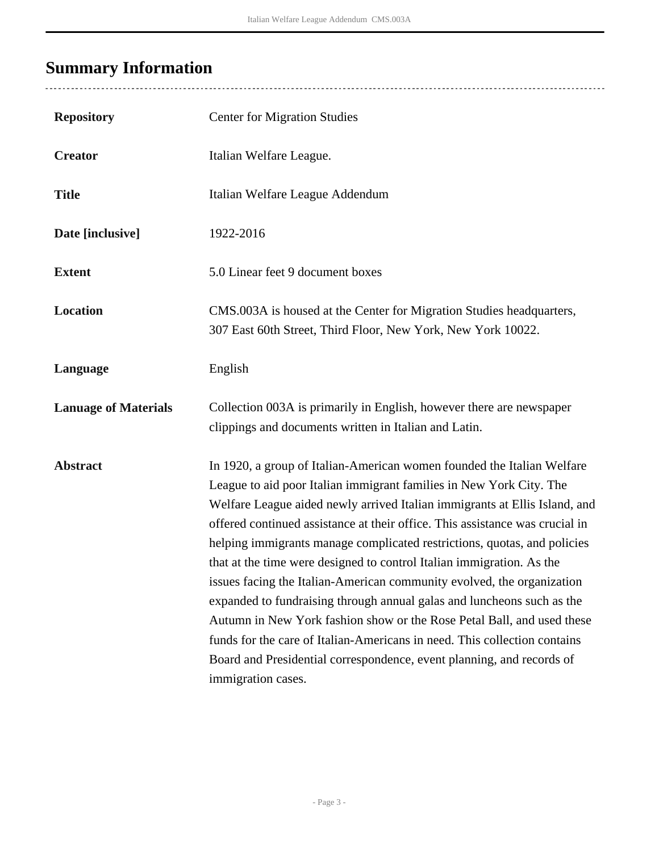÷,

# <span id="page-2-0"></span>**Summary Information**

| <b>Repository</b>           | <b>Center for Migration Studies</b>                                                                                                                                                                                                                                                                                                                                                                                                                                                                                                                                                                                                                                                                                                                                                                                                                                        |
|-----------------------------|----------------------------------------------------------------------------------------------------------------------------------------------------------------------------------------------------------------------------------------------------------------------------------------------------------------------------------------------------------------------------------------------------------------------------------------------------------------------------------------------------------------------------------------------------------------------------------------------------------------------------------------------------------------------------------------------------------------------------------------------------------------------------------------------------------------------------------------------------------------------------|
| <b>Creator</b>              | Italian Welfare League.                                                                                                                                                                                                                                                                                                                                                                                                                                                                                                                                                                                                                                                                                                                                                                                                                                                    |
| <b>Title</b>                | Italian Welfare League Addendum                                                                                                                                                                                                                                                                                                                                                                                                                                                                                                                                                                                                                                                                                                                                                                                                                                            |
| Date [inclusive]            | 1922-2016                                                                                                                                                                                                                                                                                                                                                                                                                                                                                                                                                                                                                                                                                                                                                                                                                                                                  |
| <b>Extent</b>               | 5.0 Linear feet 9 document boxes                                                                                                                                                                                                                                                                                                                                                                                                                                                                                                                                                                                                                                                                                                                                                                                                                                           |
| <b>Location</b>             | CMS.003A is housed at the Center for Migration Studies headquarters,<br>307 East 60th Street, Third Floor, New York, New York 10022.                                                                                                                                                                                                                                                                                                                                                                                                                                                                                                                                                                                                                                                                                                                                       |
| Language                    | English                                                                                                                                                                                                                                                                                                                                                                                                                                                                                                                                                                                                                                                                                                                                                                                                                                                                    |
| <b>Lanuage of Materials</b> | Collection 003A is primarily in English, however there are newspaper<br>clippings and documents written in Italian and Latin.                                                                                                                                                                                                                                                                                                                                                                                                                                                                                                                                                                                                                                                                                                                                              |
| <b>Abstract</b>             | In 1920, a group of Italian-American women founded the Italian Welfare<br>League to aid poor Italian immigrant families in New York City. The<br>Welfare League aided newly arrived Italian immigrants at Ellis Island, and<br>offered continued assistance at their office. This assistance was crucial in<br>helping immigrants manage complicated restrictions, quotas, and policies<br>that at the time were designed to control Italian immigration. As the<br>issues facing the Italian-American community evolved, the organization<br>expanded to fundraising through annual galas and luncheons such as the<br>Autumn in New York fashion show or the Rose Petal Ball, and used these<br>funds for the care of Italian-Americans in need. This collection contains<br>Board and Presidential correspondence, event planning, and records of<br>immigration cases. |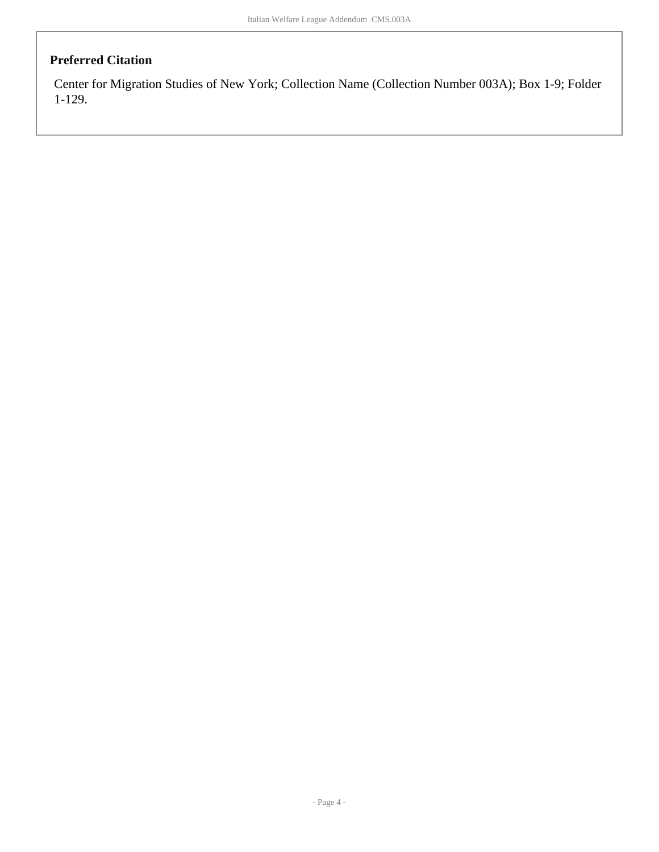### **Preferred Citation**

Center for Migration Studies of New York; Collection Name (Collection Number 003A); Box 1-9; Folder 1-129.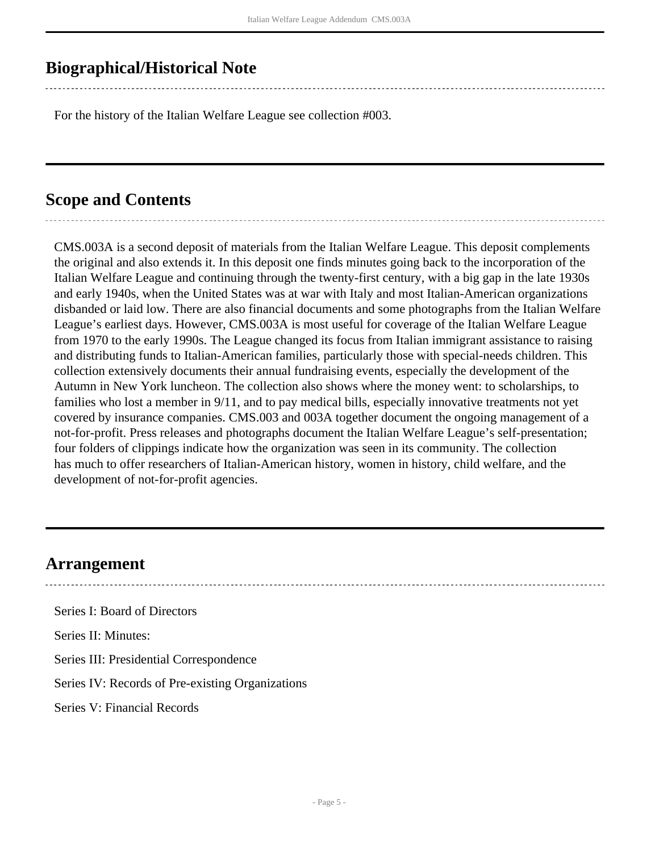## <span id="page-4-0"></span>**Biographical/Historical Note**

For the history of the Italian Welfare League see collection #003.

## <span id="page-4-1"></span>**Scope and Contents**

CMS.003A is a second deposit of materials from the Italian Welfare League. This deposit complements the original and also extends it. In this deposit one finds minutes going back to the incorporation of the Italian Welfare League and continuing through the twenty-first century, with a big gap in the late 1930s and early 1940s, when the United States was at war with Italy and most Italian-American organizations disbanded or laid low. There are also financial documents and some photographs from the Italian Welfare League's earliest days. However, CMS.003A is most useful for coverage of the Italian Welfare League from 1970 to the early 1990s. The League changed its focus from Italian immigrant assistance to raising and distributing funds to Italian-American families, particularly those with special-needs children. This collection extensively documents their annual fundraising events, especially the development of the Autumn in New York luncheon. The collection also shows where the money went: to scholarships, to families who lost a member in 9/11, and to pay medical bills, especially innovative treatments not yet covered by insurance companies. CMS.003 and 003A together document the ongoing management of a not-for-profit. Press releases and photographs document the Italian Welfare League's self-presentation; four folders of clippings indicate how the organization was seen in its community. The collection has much to offer researchers of Italian-American history, women in history, child welfare, and the development of not-for-profit agencies.

### <span id="page-4-2"></span>**Arrangement**

Series I: Board of Directors

Series II: Minutes:

Series III: Presidential Correspondence

Series IV: Records of Pre-existing Organizations

Series V: Financial Records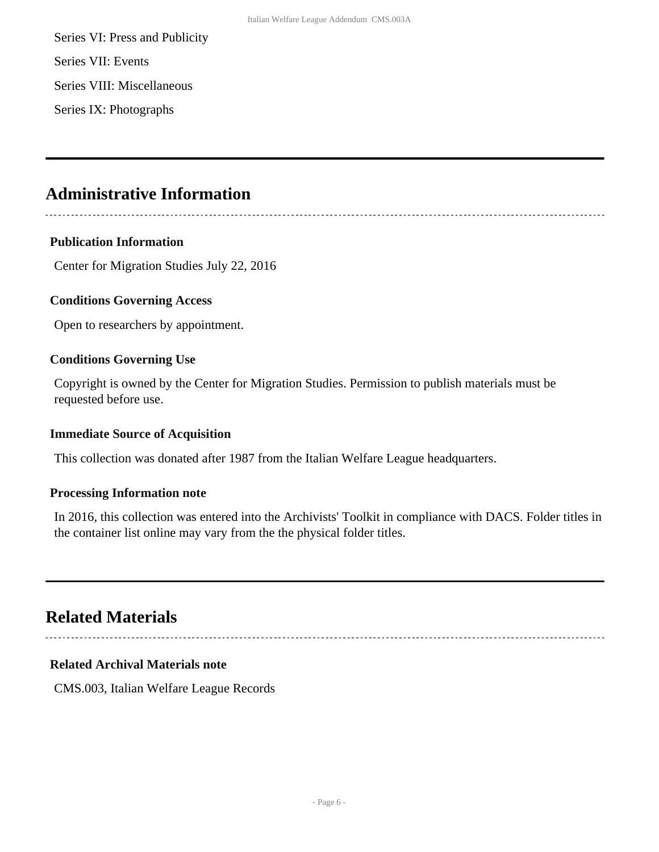Series VI: Press and Publicity Series VII: Events

Series VIII: Miscellaneous

Series IX: Photographs

## <span id="page-5-0"></span>**Administrative Information**

#### **Publication Information**

Center for Migration Studies July 22, 2016

#### **Conditions Governing Access**

Open to researchers by appointment.

#### **Conditions Governing Use**

Copyright is owned by the Center for Migration Studies. Permission to publish materials must be requested before use.

#### **Immediate Source of Acquisition**

This collection was donated after 1987 from the Italian Welfare League headquarters.

#### **Processing Information note**

In 2016, this collection was entered into the Archivists' Toolkit in compliance with DACS. Folder titles in the container list online may vary from the the physical folder titles.

## <span id="page-5-1"></span>**Related Materials**

### **Related Archival Materials note**

CMS.003, Italian Welfare League Records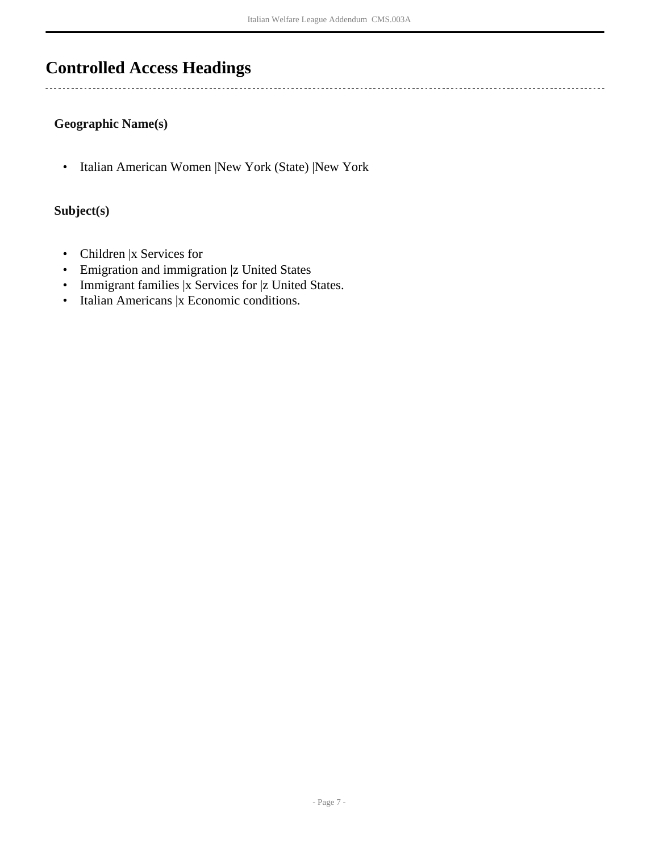# <span id="page-6-0"></span>**Controlled Access Headings**

### **Geographic Name(s)**

• Italian American Women |New York (State) |New York

### **Subject(s)**

- Children |x Services for
- Emigration and immigration |z United States
- Immigrant families |x Services for |z United States.
- Italian Americans |x Economic conditions.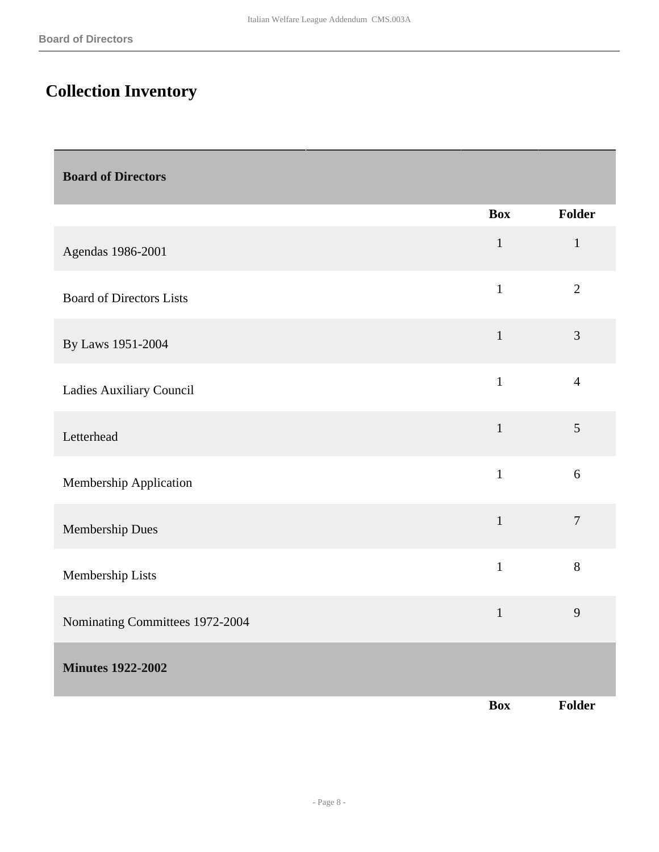# <span id="page-7-0"></span>**Collection Inventory**

<span id="page-7-2"></span><span id="page-7-1"></span>

| <b>Board of Directors</b>       |              |                |
|---------------------------------|--------------|----------------|
|                                 | <b>Box</b>   | Folder         |
| Agendas 1986-2001               | $\mathbf{1}$ | $\mathbf{1}$   |
| <b>Board of Directors Lists</b> | $\mathbf{1}$ | $\overline{2}$ |
| By Laws 1951-2004               | $\mathbf{1}$ | $\mathfrak{Z}$ |
| Ladies Auxiliary Council        | $\mathbf{1}$ | $\overline{4}$ |
| Letterhead                      | $\,1\,$      | 5              |
| Membership Application          | $\mathbf{1}$ | 6              |
| Membership Dues                 | $\mathbf{1}$ | $\overline{7}$ |
| Membership Lists                | $\mathbf{1}$ | 8              |
| Nominating Committees 1972-2004 | $\mathbf{1}$ | 9              |
| <b>Minutes 1922-2002</b>        |              |                |
|                                 | <b>Box</b>   | Folder         |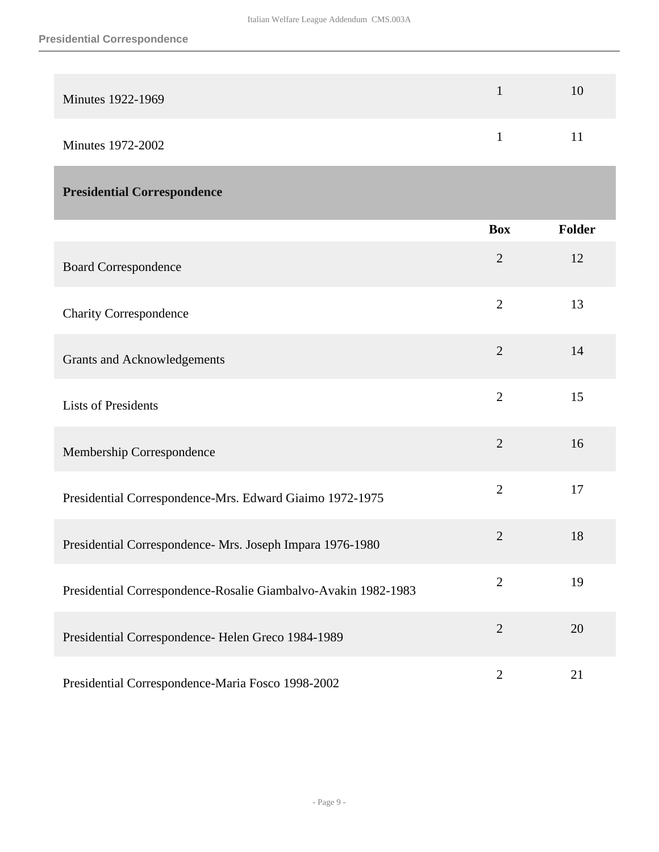| Minutes 1922-1969 | 10 |
|-------------------|----|
| Minutes 1972-2002 | 11 |

### <span id="page-8-0"></span>**Presidential Correspondence**

|                                                                | <b>Box</b>     | <b>Folder</b> |
|----------------------------------------------------------------|----------------|---------------|
| <b>Board Correspondence</b>                                    | $\overline{2}$ | 12            |
| <b>Charity Correspondence</b>                                  | $\overline{2}$ | 13            |
| <b>Grants and Acknowledgements</b>                             | $\overline{2}$ | 14            |
| <b>Lists of Presidents</b>                                     | $\overline{2}$ | 15            |
| Membership Correspondence                                      | $\overline{2}$ | 16            |
| Presidential Correspondence-Mrs. Edward Giaimo 1972-1975       | $\overline{2}$ | 17            |
| Presidential Correspondence- Mrs. Joseph Impara 1976-1980      | $\overline{2}$ | 18            |
| Presidential Correspondence-Rosalie Giambalvo-Avakin 1982-1983 | $\overline{2}$ | 19            |
| Presidential Correspondence- Helen Greco 1984-1989             | $\overline{2}$ | 20            |
| Presidential Correspondence-Maria Fosco 1998-2002              | $\overline{2}$ | 21            |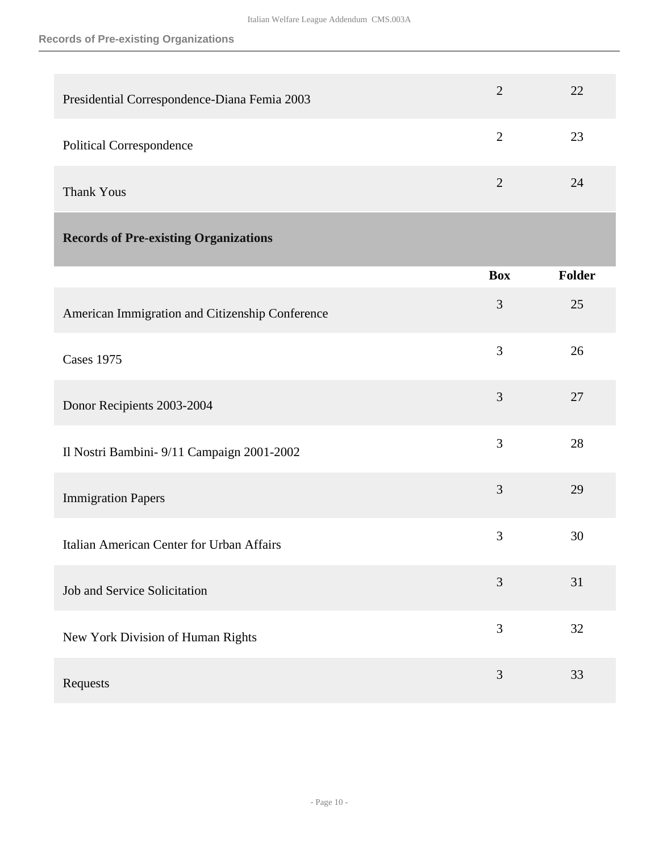<span id="page-9-0"></span>

| Presidential Correspondence-Diana Femia 2003    | $\overline{2}$ | 22     |
|-------------------------------------------------|----------------|--------|
| <b>Political Correspondence</b>                 | $\mathbf{2}$   | 23     |
| <b>Thank Yous</b>                               | $\overline{2}$ | 24     |
| <b>Records of Pre-existing Organizations</b>    |                |        |
|                                                 | <b>Box</b>     | Folder |
| American Immigration and Citizenship Conference | 3              | 25     |
| <b>Cases 1975</b>                               | 3              | 26     |
| Donor Recipients 2003-2004                      | 3              | 27     |
| Il Nostri Bambini- 9/11 Campaign 2001-2002      | 3              | 28     |
| <b>Immigration Papers</b>                       | 3              | 29     |
| Italian American Center for Urban Affairs       | 3              | 30     |
| Job and Service Solicitation                    | 3              | 31     |
| New York Division of Human Rights               | 3              | 32     |
| Requests                                        | $\mathfrak{Z}$ | 33     |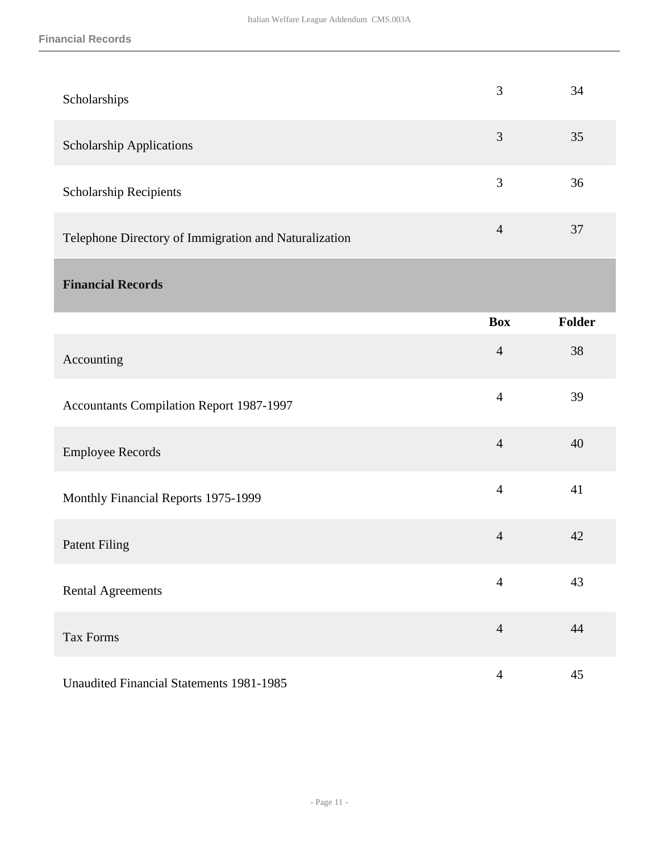<span id="page-10-0"></span>

| Scholarships                                          | 3              | 34     |
|-------------------------------------------------------|----------------|--------|
| <b>Scholarship Applications</b>                       | 3              | 35     |
| Scholarship Recipients                                | 3              | 36     |
| Telephone Directory of Immigration and Naturalization | $\overline{4}$ | 37     |
| <b>Financial Records</b>                              |                |        |
|                                                       | <b>Box</b>     | Folder |
| Accounting                                            | $\overline{4}$ | 38     |
| <b>Accountants Compilation Report 1987-1997</b>       | $\overline{4}$ | 39     |
| <b>Employee Records</b>                               | $\overline{4}$ | 40     |
| Monthly Financial Reports 1975-1999                   | $\overline{4}$ | 41     |
| <b>Patent Filing</b>                                  | $\overline{4}$ | 42     |
| <b>Rental Agreements</b>                              | $\overline{4}$ | 43     |
| Tax Forms                                             | $\overline{4}$ | 44     |
| <b>Unaudited Financial Statements 1981-1985</b>       | $\overline{4}$ | 45     |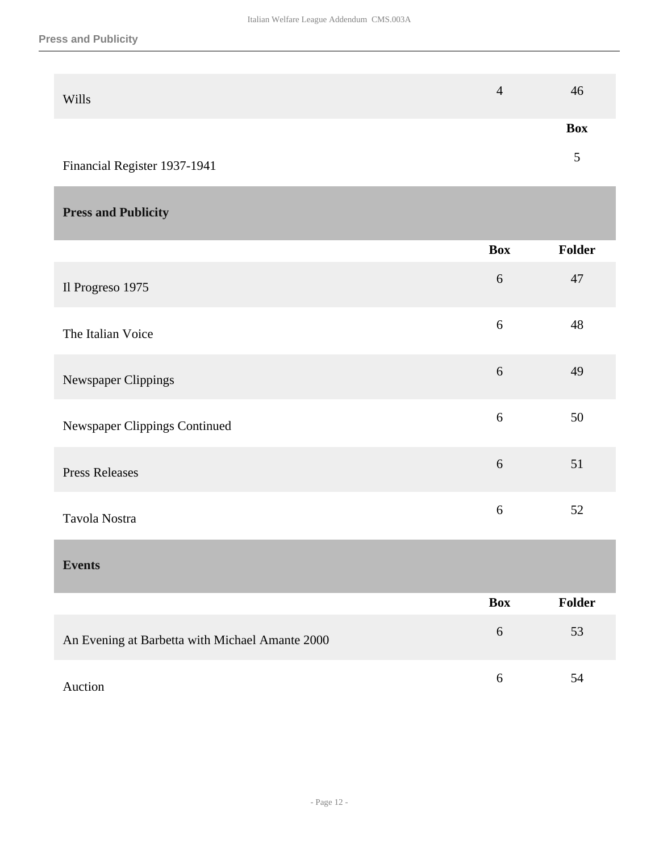| <b>Wills</b>                 | 4 | 46         |
|------------------------------|---|------------|
|                              |   | <b>Box</b> |
| Financial Register 1937-1941 |   | ∼          |

### <span id="page-11-0"></span>**Press and Publicity**

<span id="page-11-1"></span>

|                                                 | <b>Box</b>       | Folder |
|-------------------------------------------------|------------------|--------|
| Il Progreso 1975                                | 6                | 47     |
| The Italian Voice                               | 6                | 48     |
| Newspaper Clippings                             | $\boldsymbol{6}$ | 49     |
| Newspaper Clippings Continued                   | 6                | 50     |
| <b>Press Releases</b>                           | 6                | 51     |
| Tavola Nostra                                   | 6                | 52     |
| <b>Events</b>                                   |                  |        |
|                                                 | <b>Box</b>       | Folder |
| An Evening at Barbetta with Michael Amante 2000 | $\boldsymbol{6}$ | 53     |
| Auction                                         | 6                | 54     |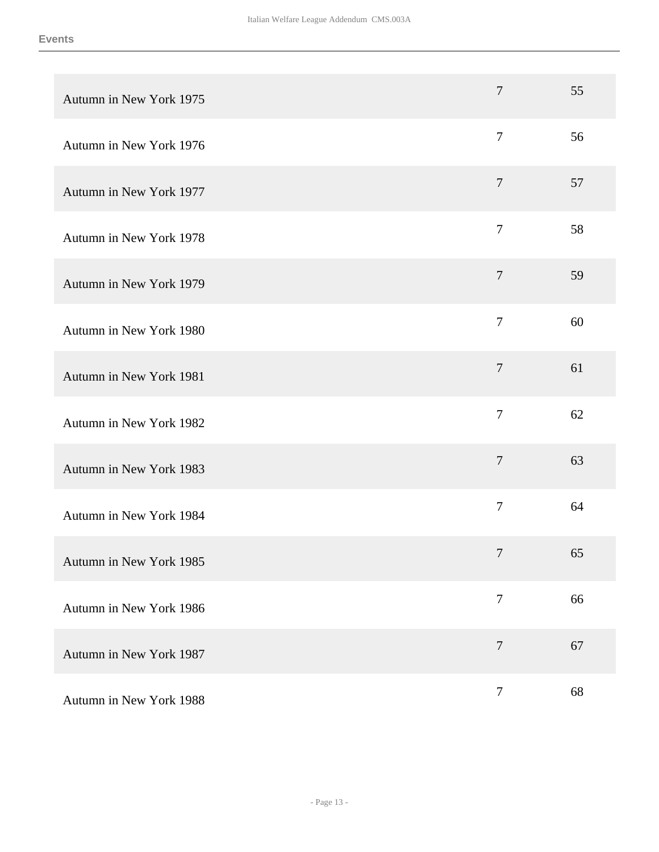| Autumn in New York 1975 | $\overline{7}$   | 55 |
|-------------------------|------------------|----|
| Autumn in New York 1976 | $\boldsymbol{7}$ | 56 |
| Autumn in New York 1977 | $\overline{7}$   | 57 |
| Autumn in New York 1978 | $\overline{7}$   | 58 |
| Autumn in New York 1979 | $\overline{7}$   | 59 |
| Autumn in New York 1980 | $\boldsymbol{7}$ | 60 |
| Autumn in New York 1981 | $\overline{7}$   | 61 |
| Autumn in New York 1982 | $\boldsymbol{7}$ | 62 |
| Autumn in New York 1983 | $\tau$           | 63 |
| Autumn in New York 1984 | $\overline{7}$   | 64 |
| Autumn in New York 1985 | $\boldsymbol{7}$ | 65 |
| Autumn in New York 1986 | $\overline{7}$   | 66 |
| Autumn in New York 1987 | $\overline{7}$   | 67 |
| Autumn in New York 1988 | $\tau$           | 68 |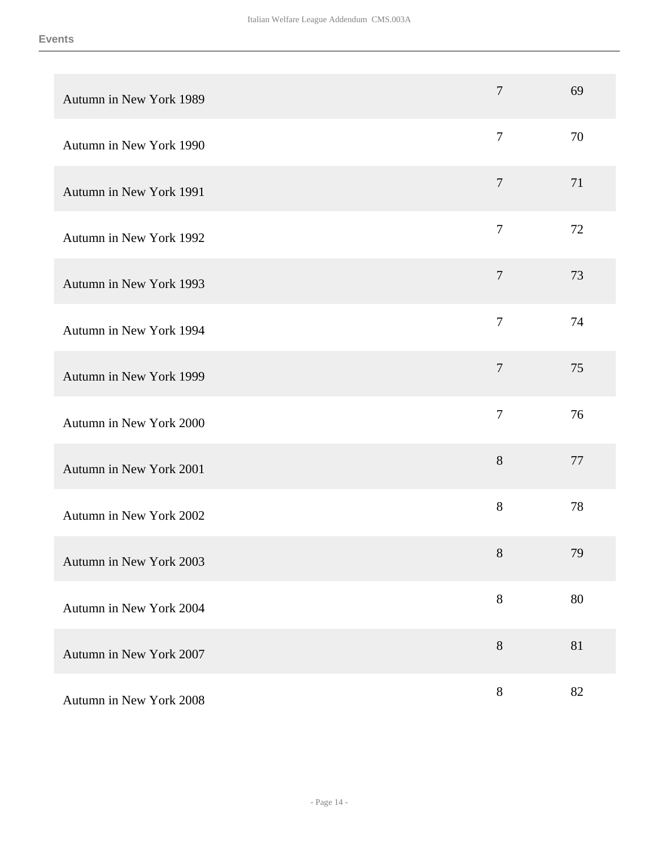| Autumn in New York 1989 | $\overline{7}$ | 69 |
|-------------------------|----------------|----|
| Autumn in New York 1990 | $\overline{7}$ | 70 |
| Autumn in New York 1991 | $\overline{7}$ | 71 |
| Autumn in New York 1992 | $\overline{7}$ | 72 |
| Autumn in New York 1993 | $\overline{7}$ | 73 |
| Autumn in New York 1994 | $\overline{7}$ | 74 |
| Autumn in New York 1999 | $\tau$         | 75 |
| Autumn in New York 2000 | $\overline{7}$ | 76 |
| Autumn in New York 2001 | 8              | 77 |
| Autumn in New York 2002 | $8\,$          | 78 |
| Autumn in New York 2003 | $8\,$          | 79 |
| Autumn in New York 2004 | $8\,$          | 80 |
| Autumn in New York 2007 | $8\,$          | 81 |
| Autumn in New York 2008 | $8\,$          | 82 |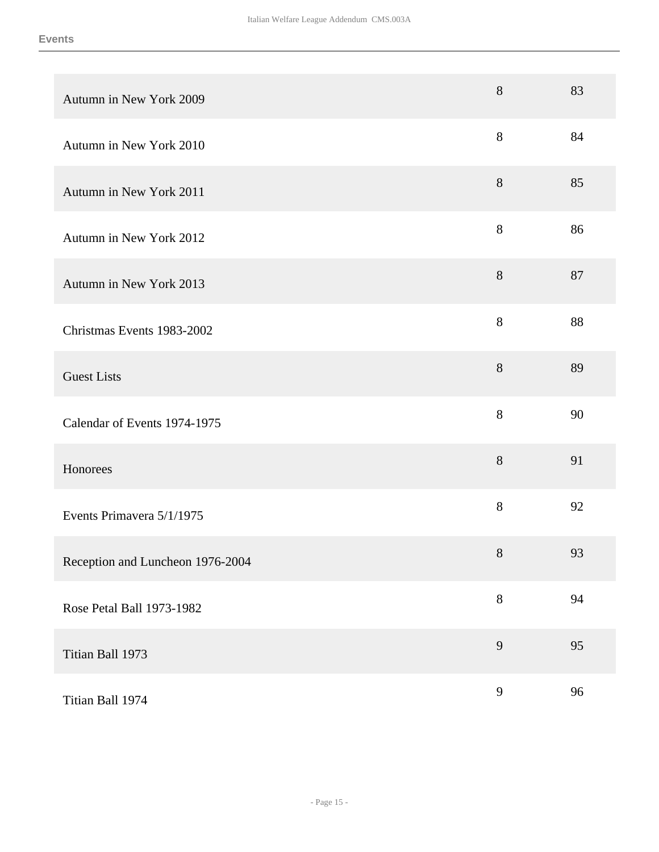| Autumn in New York 2009          | $8\,$ | 83 |
|----------------------------------|-------|----|
| Autumn in New York 2010          | 8     | 84 |
| Autumn in New York 2011          | 8     | 85 |
| Autumn in New York 2012          | $8\,$ | 86 |
| Autumn in New York 2013          | 8     | 87 |
| Christmas Events 1983-2002       | 8     | 88 |
| <b>Guest Lists</b>               | $8\,$ | 89 |
| Calendar of Events 1974-1975     | $8\,$ | 90 |
| Honorees                         | $8\,$ | 91 |
| Events Primavera 5/1/1975        | $8\,$ | 92 |
| Reception and Luncheon 1976-2004 | $8\,$ | 93 |
| Rose Petal Ball 1973-1982        | $8\,$ | 94 |
| Titian Ball 1973                 | 9     | 95 |
| Titian Ball 1974                 | 9     | 96 |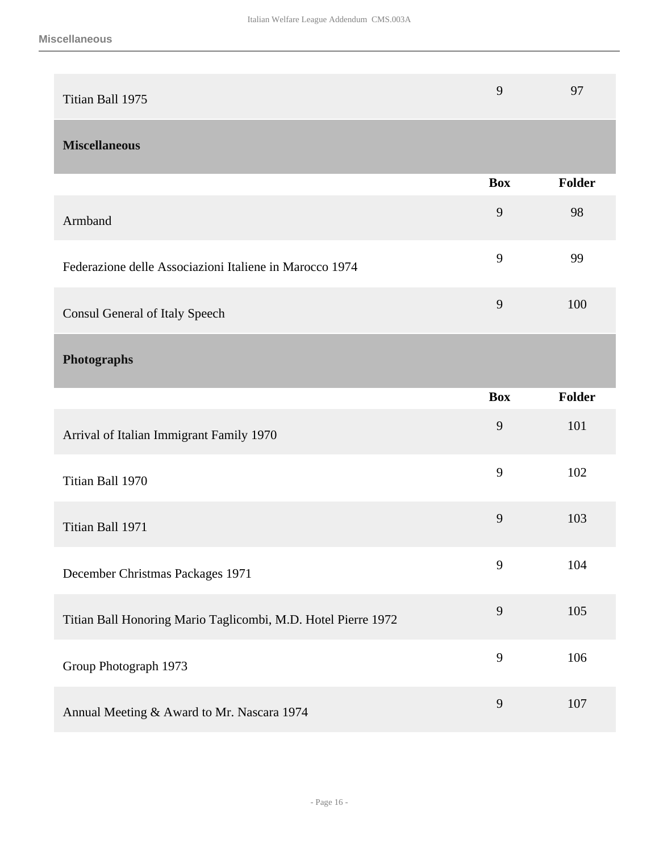<span id="page-15-1"></span><span id="page-15-0"></span>

| Titian Ball 1975                                              | 9          | 97     |
|---------------------------------------------------------------|------------|--------|
| <b>Miscellaneous</b>                                          |            |        |
|                                                               | <b>Box</b> | Folder |
| Armband                                                       | 9          | 98     |
| Federazione delle Associazioni Italiene in Marocco 1974       | 9          | 99     |
| Consul General of Italy Speech                                | 9          | 100    |
| <b>Photographs</b>                                            |            |        |
|                                                               | <b>Box</b> | Folder |
| Arrival of Italian Immigrant Family 1970                      | 9          | 101    |
| Titian Ball 1970                                              | 9          | 102    |
|                                                               |            |        |
| Titian Ball 1971                                              | 9          | 103    |
| December Christmas Packages 1971                              | 9          | 104    |
| Titian Ball Honoring Mario Taglicombi, M.D. Hotel Pierre 1972 | 9          | 105    |
| Group Photograph 1973                                         | 9          | 106    |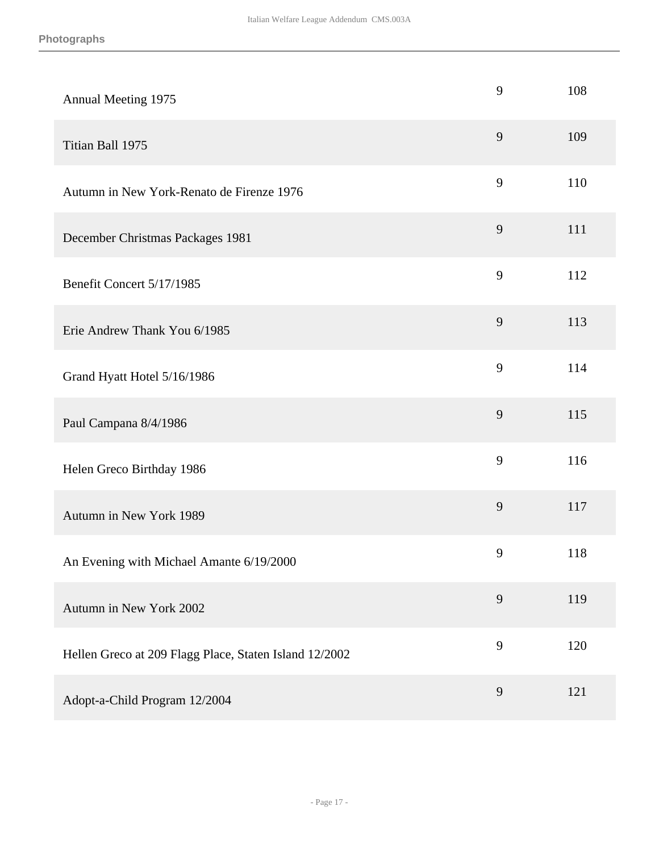| Annual Meeting 1975                                    | 9 | 108 |
|--------------------------------------------------------|---|-----|
| Titian Ball 1975                                       | 9 | 109 |
| Autumn in New York-Renato de Firenze 1976              | 9 | 110 |
| December Christmas Packages 1981                       | 9 | 111 |
| Benefit Concert 5/17/1985                              | 9 | 112 |
| Erie Andrew Thank You 6/1985                           | 9 | 113 |
| Grand Hyatt Hotel 5/16/1986                            | 9 | 114 |
| Paul Campana 8/4/1986                                  | 9 | 115 |
| Helen Greco Birthday 1986                              | 9 | 116 |
| Autumn in New York 1989                                | 9 | 117 |
| An Evening with Michael Amante 6/19/2000               | 9 | 118 |
| Autumn in New York 2002                                | 9 | 119 |
| Hellen Greco at 209 Flagg Place, Staten Island 12/2002 | 9 | 120 |
| Adopt-a-Child Program 12/2004                          | 9 | 121 |